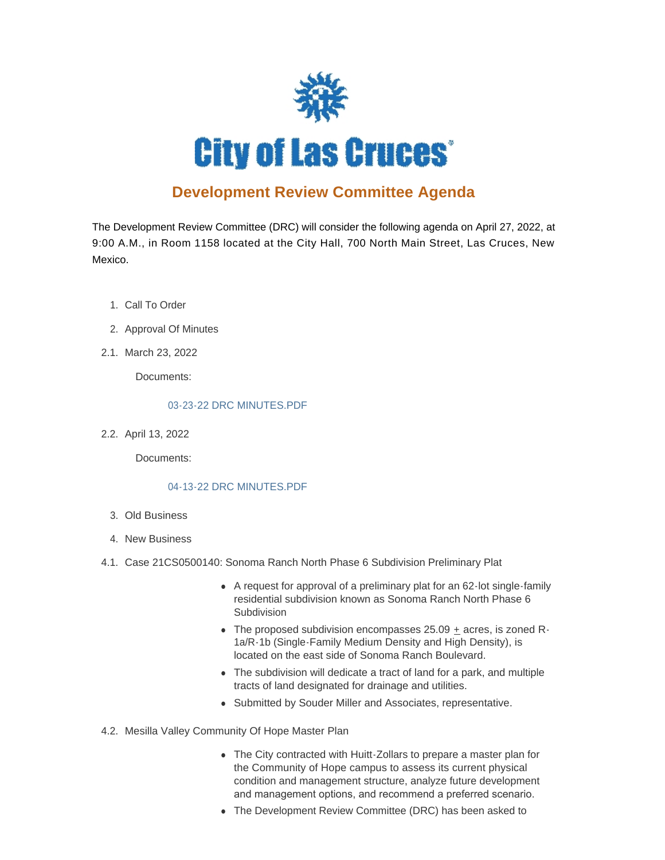

# **Development Review Committee Agenda**

The Development Review Committee (DRC) will consider the following agenda on April 27, 2022, at 9:00 A.M., in Room 1158 located at the City Hall, 700 North Main Street, Las Cruces, New Mexico.

- 1. Call To Order
- 2. Approval Of Minutes
- 2.1. March 23, 2022

Documents:

## [03-23-22 DRC MINUTES.PDF](https://www.las-cruces.org/AgendaCenter/ViewFile/Item/9260?fileID=15114)

2.2. April 13, 2022

Documents:

## [04-13-22 DRC MINUTES.PDF](https://www.las-cruces.org/AgendaCenter/ViewFile/Item/9259?fileID=15113)

- Old Business 3.
- 4. New Business
- 4.1. Case 21CS0500140: Sonoma Ranch North Phase 6 Subdivision Preliminary Plat
	- A request for approval of a preliminary plat for an 62-lot single-family residential subdivision known as Sonoma Ranch North Phase 6 Subdivision
	- The proposed subdivision encompasses  $25.09$  + acres, is zoned R-1a/R-1b (Single-Family Medium Density and High Density), is located on the east side of Sonoma Ranch Boulevard.
	- The subdivision will dedicate a tract of land for a park, and multiple tracts of land designated for drainage and utilities.
	- Submitted by Souder Miller and Associates, representative.
- 4.2. Mesilla Valley Community Of Hope Master Plan
	- The City contracted with Huitt-Zollars to prepare a master plan for the Community of Hope campus to assess its current physical condition and management structure, analyze future development and management options, and recommend a preferred scenario.
	- The Development Review Committee (DRC) has been asked to